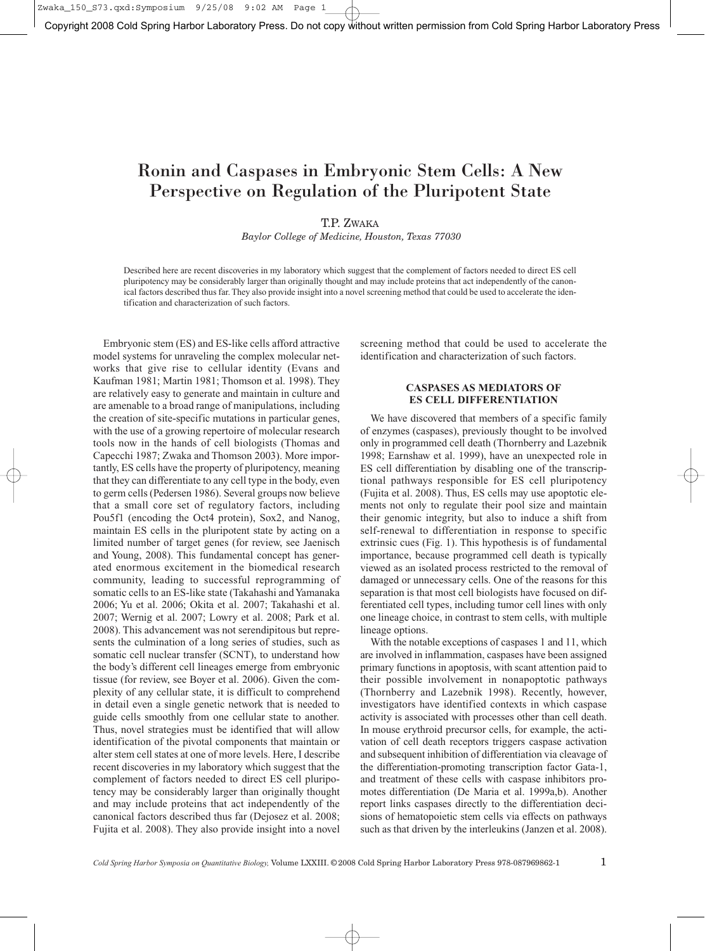Zwaka\_150\_S73.qxd:Symposium 9/25/08 9:02 AM

Copyright 2008 Cold Spring Harbor Laboratory Press. Do not copy without written permission from Cold Spring Harbor Laboratory Press

# Ronin and Caspases in Embryonic Stem Cells: A New Perspective on Regulation of the Pluripotent State

# T.P. ZWAKA

*Baylor College of Medicine, Houston, Texas 77030*

Described here are recent discoveries in my laboratory which suggest that the complement of factors needed to direct ES cell pluripotency may be considerably larger than originally thought and may include proteins that act independently of the canonical factors described thus far. They also provide insight into a novel screening method that could be used to accelerate the identification and characterization of such factors.

Embryonic stem (ES) and ES-like cells afford attractive model systems for unraveling the complex molecular networks that give rise to cellular identity (Evans and Kaufman 1981; Martin 1981; Thomson et al. 1998). They are relatively easy to generate and maintain in culture and are amenable to a broad range of manipulations, including the creation of site-specific mutations in particular genes, with the use of a growing repertoire of molecular research tools now in the hands of cell biologists (Thomas and Capecchi 1987; Zwaka and Thomson 2003). More importantly, ES cells have the property of pluripotency, meaning that they can differentiate to any cell type in the body, even to germ cells (Pedersen 1986). Several groups now believe that a small core set of regulatory factors, including Pou5f1 (encoding the Oct4 protein), Sox2, and Nanog, maintain ES cells in the pluripotent state by acting on a limited number of target genes (for review, see Jaenisch and Young, 2008). This fundamental concept has generated enormous excitement in the biomedical research community, leading to successful reprogramming of somatic cells to an ES-like state (Takahashi and Yamanaka 2006; Yu et al. 2006; Okita et al. 2007; Takahashi et al. 2007; Wernig et al. 2007; Lowry et al. 2008; Park et al. 2008). This advancement was not serendipitous but represents the culmination of a long series of studies, such as somatic cell nuclear transfer (SCNT), to understand how the body's different cell lineages emerge from embryonic tissue (for review, see Boyer et al. 2006). Given the complexity of any cellular state, it is difficult to comprehend in detail even a single genetic network that is needed to guide cells smoothly from one cellular state to another. Thus, novel strategies must be identified that will allow identification of the pivotal components that maintain or alter stem cell states at one of more levels. Here, I describe recent discoveries in my laboratory which suggest that the complement of factors needed to direct ES cell pluripotency may be considerably larger than originally thought and may include proteins that act independently of the canonical factors described thus far (Dejosez et al. 2008; Fujita et al. 2008). They also provide insight into a novel screening method that could be used to accelerate the identification and characterization of such factors.

# **CASPASES AS MEDIATORS OF ES CELL DIFFERENTIATION**

We have discovered that members of a specific family of enzymes (caspases), previously thought to be involved only in programmed cell death (Thornberry and Lazebnik 1998; Earnshaw et al. 1999), have an unexpected role in ES cell differentiation by disabling one of the transcriptional pathways responsible for ES cell pluripotency (Fujita et al. 2008). Thus, ES cells may use apoptotic elements not only to regulate their pool size and maintain their genomic integrity, but also to induce a shift from self-renewal to differentiation in response to specific extrinsic cues (Fig. 1). This hypothesis is of fundamental importance, because programmed cell death is typically viewed as an isolated process restricted to the removal of damaged or unnecessary cells. One of the reasons for this separation is that most cell biologists have focused on differentiated cell types, including tumor cell lines with only one lineage choice, in contrast to stem cells, with multiple lineage options.

With the notable exceptions of caspases 1 and 11, which are involved in inflammation, caspases have been assigned primary functions in apoptosis, with scant attention paid to their possible involvement in nonapoptotic pathways (Thornberry and Lazebnik 1998). Recently, however, investigators have identified contexts in which caspase activity is associated with processes other than cell death. In mouse erythroid precursor cells, for example, the activation of cell death receptors triggers caspase activation and subsequent inhibition of differentiation via cleavage of the differentiation-promoting transcription factor Gata-1, and treatment of these cells with caspase inhibitors promotes differentiation (De Maria et al. 1999a,b). Another report links caspases directly to the differentiation decisions of hematopoietic stem cells via effects on pathways such as that driven by the interleukins (Janzen et al. 2008).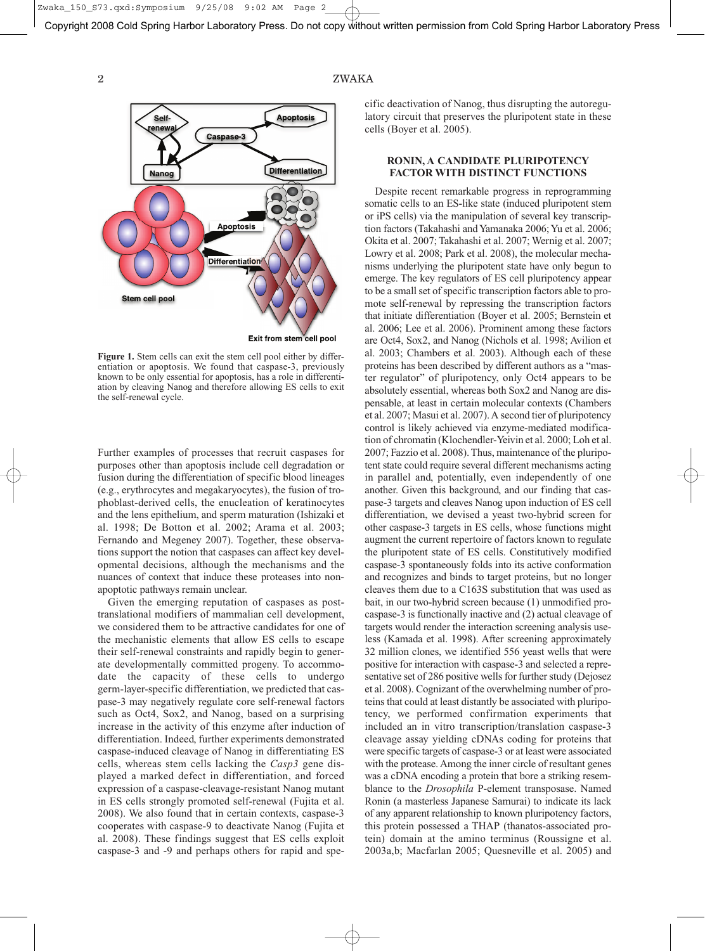Copyright 2008 Cold Spring Harbor Laboratory Press. Do not copy without written permission from Cold Spring Harbor Laboratory Press

# 2 ZWAKA



**Figure 1.** Stem cells can exit the stem cell pool either by differentiation or apoptosis. We found that caspase-3, previously known to be only essential for apoptosis, has a role in differentiation by cleaving Nanog and therefore allowing ES cells to exit the self-renewal cycle.

Further examples of processes that recruit caspases for purposes other than apoptosis include cell degradation or fusion during the differentiation of specific blood lineages (e.g., erythrocytes and megakaryocytes), the fusion of trophoblast-derived cells, the enucleation of keratinocytes and the lens epithelium, and sperm maturation (Ishizaki et al. 1998; De Botton et al. 2002; Arama et al. 2003; Fernando and Megeney 2007). Together, these observations support the notion that caspases can affect key developmental decisions, although the mechanisms and the nuances of context that induce these proteases into nonapoptotic pathways remain unclear.

Given the emerging reputation of caspases as posttranslational modifiers of mammalian cell development, we considered them to be attractive candidates for one of the mechanistic elements that allow ES cells to escape their self-renewal constraints and rapidly begin to generate developmentally committed progeny. To accommodate the capacity of these cells to undergo germ-layer-specific differentiation, we predicted that caspase-3 may negatively regulate core self-renewal factors such as Oct4, Sox2, and Nanog, based on a surprising increase in the activity of this enzyme after induction of differentiation. Indeed, further experiments demonstrated caspase-induced cleavage of Nanog in differentiating ES cells, whereas stem cells lacking the *Casp3* gene displayed a marked defect in differentiation, and forced expression of a caspase-cleavage-resistant Nanog mutant in ES cells strongly promoted self-renewal (Fujita et al. 2008). We also found that in certain contexts, caspase-3 cooperates with caspase-9 to deactivate Nanog (Fujita et al. 2008). These findings suggest that ES cells exploit caspase-3 and -9 and perhaps others for rapid and specific deactivation of Nanog, thus disrupting the autoregulatory circuit that preserves the pluripotent state in these cells (Boyer et al. 2005).

# **RONIN, A CANDIDATE PLURIPOTENCY FACTOR WITH DISTINCT FUNCTIONS**

Despite recent remarkable progress in reprogramming somatic cells to an ES-like state (induced pluripotent stem or iPS cells) via the manipulation of several key transcription factors (Takahashi and Yamanaka 2006; Yu et al. 2006; Okita et al. 2007; Takahashi et al. 2007; Wernig et al. 2007; Lowry et al. 2008; Park et al. 2008), the molecular mechanisms underlying the pluripotent state have only begun to emerge. The key regulators of ES cell pluripotency appear to be a small set of specific transcription factors able to promote self-renewal by repressing the transcription factors that initiate differentiation (Boyer et al. 2005; Bernstein et al. 2006; Lee et al. 2006). Prominent among these factors are Oct4, Sox2, and Nanog (Nichols et al. 1998; Avilion et al. 2003; Chambers et al. 2003). Although each of these proteins has been described by different authors as a "master regulator" of pluripotency, only Oct4 appears to be absolutely essential, whereas both Sox2 and Nanog are dispensable, at least in certain molecular contexts (Chambers et al. 2007; Masui et al. 2007).A second tier of pluripotency control is likely achieved via enzyme-mediated modification of chromatin (Klochendler-Yeivin et al. 2000; Loh et al. 2007; Fazzio et al. 2008). Thus, maintenance of the pluripotent state could require several different mechanisms acting in parallel and, potentially, even independently of one another. Given this background, and our finding that caspase-3 targets and cleaves Nanog upon induction of ES cell differentiation, we devised a yeast two-hybrid screen for other caspase-3 targets in ES cells, whose functions might augment the current repertoire of factors known to regulate the pluripotent state of ES cells. Constitutively modified caspase-3 spontaneously folds into its active conformation and recognizes and binds to target proteins, but no longer cleaves them due to a C163S substitution that was used as bait, in our two-hybrid screen because (1) unmodified procaspase-3 is functionally inactive and (2) actual cleavage of targets would render the interaction screening analysis useless (Kamada et al. 1998). After screening approximately 32 million clones, we identified 556 yeast wells that were positive for interaction with caspase-3 and selected a representative set of 286 positive wells for further study (Dejosez et al. 2008). Cognizant of the overwhelming number of proteins that could at least distantly be associated with pluripotency, we performed confirmation experiments that included an in vitro transcription/translation caspase-3 cleavage assay yielding cDNAs coding for proteins that were specific targets of caspase-3 or at least were associated with the protease. Among the inner circle of resultant genes was a cDNA encoding a protein that bore a striking resemblance to the *Drosophila* P-element transposase. Named Ronin (a masterless Japanese Samurai) to indicate its lack of any apparent relationship to known pluripotency factors, this protein possessed a THAP (thanatos-associated protein) domain at the amino terminus (Roussigne et al. 2003a,b; Macfarlan 2005; Quesneville et al. 2005) and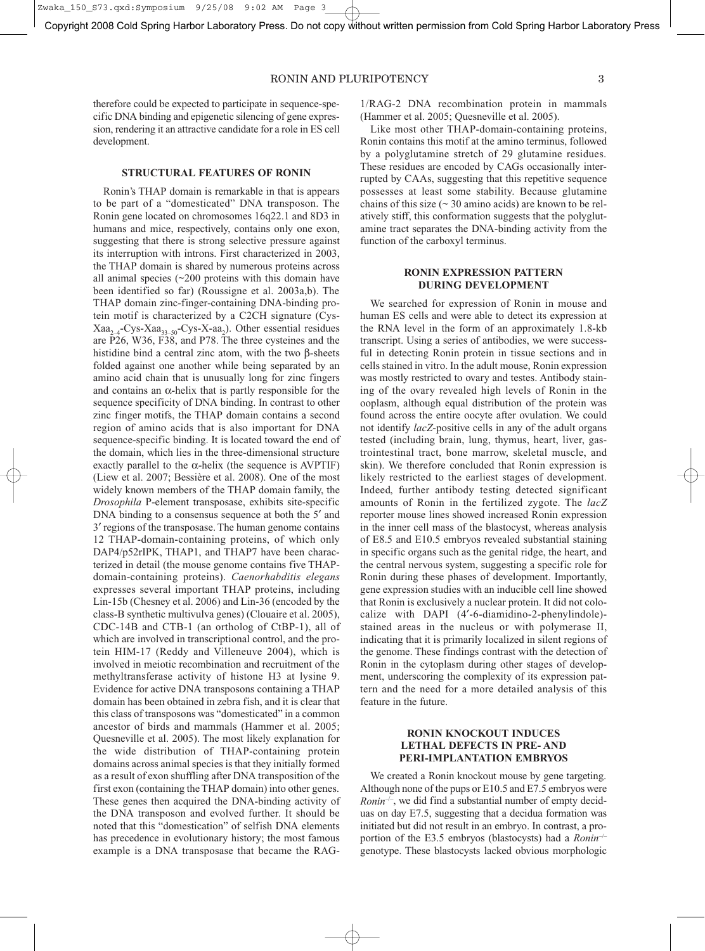Zwaka 150 S73.qxd: Symposium 9/25/08 9:02 AM

Copyright 2008 Cold Spring Harbor Laboratory Press. Do not copy without written permission from Cold Spring Harbor Laboratory Press

# RONIN AND PLURIPOTENCY 3

therefore could be expected to participate in sequence-specific DNA binding and epigenetic silencing of gene expression, rendering it an attractive candidate for a role in ES cell development.

#### **STRUCTURAL FEATURES OF RONIN**

Ronin's THAP domain is remarkable in that is appears to be part of a "domesticated" DNA transposon. The Ronin gene located on chromosomes 16q22.1 and 8D3 in humans and mice, respectively, contains only one exon, suggesting that there is strong selective pressure against its interruption with introns. First characterized in 2003, the THAP domain is shared by numerous proteins across all animal species (~200 proteins with this domain have been identified so far) (Roussigne et al. 2003a,b). The THAP domain zinc-finger-containing DNA-binding protein motif is characterized by a C2CH signature (Cys- $Xaa_{2-4}$ -Cys-Xaa<sub>33–50</sub>-Cys-X-aa<sub>2</sub>). Other essential residues are P26, W36, F38, and P78. The three cysteines and the histidine bind a central zinc atom, with the two β-sheets folded against one another while being separated by an amino acid chain that is unusually long for zinc fingers and contains an  $\alpha$ -helix that is partly responsible for the sequence specificity of DNA binding. In contrast to other zinc finger motifs, the THAP domain contains a second region of amino acids that is also important for DNA sequence-specific binding. It is located toward the end of the domain, which lies in the three-dimensional structure exactly parallel to the  $\alpha$ -helix (the sequence is AVPTIF) (Liew et al. 2007; Bessière et al. 2008). One of the most widely known members of the THAP domain family, the *Drosophila* P-element transposase, exhibits site-specific DNA binding to a consensus sequence at both the 5′ and 3′ regions of the transposase. The human genome contains 12 THAP-domain-containing proteins, of which only DAP4/p52rIPK, THAP1, and THAP7 have been characterized in detail (the mouse genome contains five THAPdomain-containing proteins). *Caenorhabditis elegans* expresses several important THAP proteins, including Lin-15b (Chesney et al. 2006) and Lin-36 (encoded by the class-B synthetic multivulva genes) (Clouaire et al. 2005), CDC-14B and CTB-1 (an ortholog of CtBP-1), all of which are involved in transcriptional control, and the protein HIM-17 (Reddy and Villeneuve 2004), which is involved in meiotic recombination and recruitment of the methyltransferase activity of histone H3 at lysine 9. Evidence for active DNA transposons containing a THAP domain has been obtained in zebra fish, and it is clear that this class of transposons was "domesticated" in a common ancestor of birds and mammals (Hammer et al. 2005; Quesneville et al. 2005). The most likely explanation for the wide distribution of THAP-containing protein domains across animal species is that they initially formed as a result of exon shuffling after DNA transposition of the first exon (containing the THAP domain) into other genes. These genes then acquired the DNA-binding activity of the DNA transposon and evolved further. It should be noted that this "domestication" of selfish DNA elements has precedence in evolutionary history; the most famous example is a DNA transposase that became the RAG-

1/RAG-2 DNA recombination protein in mammals (Hammer et al. 2005; Quesneville et al. 2005).

Like most other THAP-domain-containing proteins, Ronin contains this motif at the amino terminus, followed by a polyglutamine stretch of 29 glutamine residues. These residues are encoded by CAGs occasionally interrupted by CAAs, suggesting that this repetitive sequence possesses at least some stability. Because glutamine chains of this size  $($   $\sim$  30 amino acids) are known to be relatively stiff, this conformation suggests that the polyglutamine tract separates the DNA-binding activity from the function of the carboxyl terminus.

# **RONIN EXPRESSION PATTERN DURING DEVELOPMENT**

We searched for expression of Ronin in mouse and human ES cells and were able to detect its expression at the RNA level in the form of an approximately 1.8-kb transcript. Using a series of antibodies, we were successful in detecting Ronin protein in tissue sections and in cells stained in vitro. In the adult mouse, Ronin expression was mostly restricted to ovary and testes. Antibody staining of the ovary revealed high levels of Ronin in the ooplasm, although equal distribution of the protein was found across the entire oocyte after ovulation. We could not identify *lacZ*-positive cells in any of the adult organs tested (including brain, lung, thymus, heart, liver, gastrointestinal tract, bone marrow, skeletal muscle, and skin). We therefore concluded that Ronin expression is likely restricted to the earliest stages of development. Indeed, further antibody testing detected significant amounts of Ronin in the fertilized zygote. The *lacZ* reporter mouse lines showed increased Ronin expression in the inner cell mass of the blastocyst, whereas analysis of E8.5 and E10.5 embryos revealed substantial staining in specific organs such as the genital ridge, the heart, and the central nervous system, suggesting a specific role for Ronin during these phases of development. Importantly, gene expression studies with an inducible cell line showed that Ronin is exclusively a nuclear protein. It did not colocalize with DAPI (4′-6-diamidino-2-phenylindole) stained areas in the nucleus or with polymerase II, indicating that it is primarily localized in silent regions of the genome. These findings contrast with the detection of Ronin in the cytoplasm during other stages of development, underscoring the complexity of its expression pattern and the need for a more detailed analysis of this feature in the future.

# **RONIN KNOCKOUT INDUCES LETHAL DEFECTS IN PRE- AND PERI-IMPLANTATION EMBRYOS**

We created a Ronin knockout mouse by gene targeting. Although none of the pups or E10.5 and E7.5 embryos were *Ronin*<sup> $-/-$ </sup>, we did find a substantial number of empty deciduas on day E7.5, suggesting that a decidua formation was initiated but did not result in an embryo. In contrast, a proportion of the E3.5 embryos (blastocysts) had a *Ronin*–/– genotype. These blastocysts lacked obvious morphologic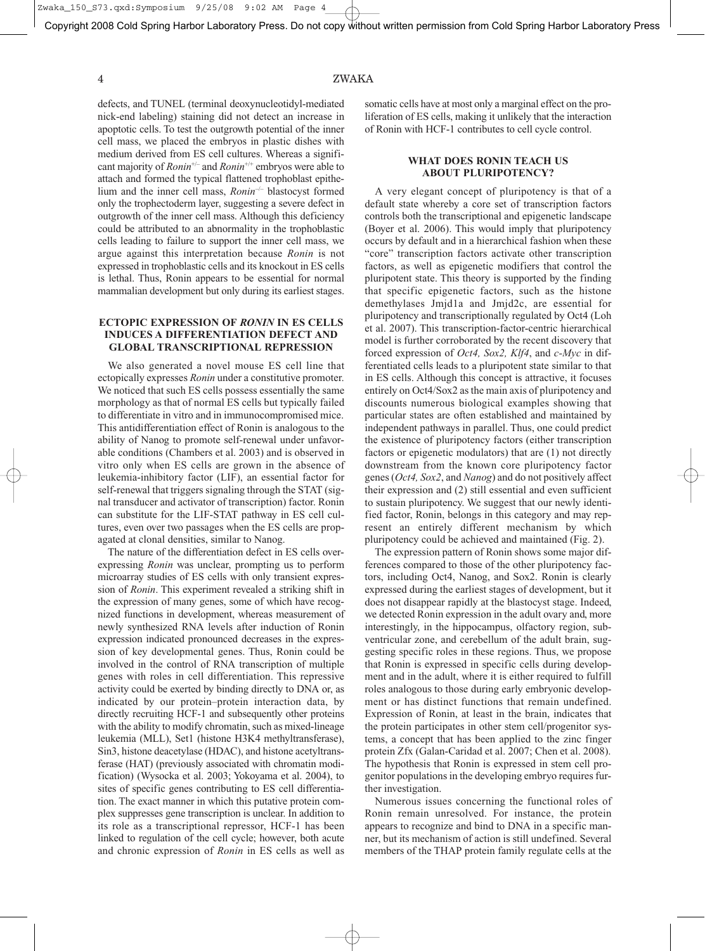#### 4 ZWAKA

defects, and TUNEL (terminal deoxynucleotidyl-mediated nick-end labeling) staining did not detect an increase in apoptotic cells. To test the outgrowth potential of the inner cell mass, we placed the embryos in plastic dishes with medium derived from ES cell cultures. Whereas a significant majority of *Ronin*+/– and *Ronin*+/+ embryos were able to attach and formed the typical flattened trophoblast epithelium and the inner cell mass, *Ronin*–/– blastocyst formed only the trophectoderm layer, suggesting a severe defect in outgrowth of the inner cell mass. Although this deficiency could be attributed to an abnormality in the trophoblastic cells leading to failure to support the inner cell mass, we argue against this interpretation because *Ronin* is not expressed in trophoblastic cells and its knockout in ES cells is lethal. Thus, Ronin appears to be essential for normal mammalian development but only during its earliest stages.

# **ECTOPIC EXPRESSION OF** *RONIN* **IN ES CELLS INDUCES A DIFFERENTIATION DEFECT AND GLOBAL TRANSCRIPTIONAL REPRESSION**

We also generated a novel mouse ES cell line that ectopically expresses *Ronin* under a constitutive promoter. We noticed that such ES cells possess essentially the same morphology as that of normal ES cells but typically failed to differentiate in vitro and in immunocompromised mice. This antidifferentiation effect of Ronin is analogous to the ability of Nanog to promote self-renewal under unfavorable conditions (Chambers et al. 2003) and is observed in vitro only when ES cells are grown in the absence of leukemia-inhibitory factor (LIF), an essential factor for self-renewal that triggers signaling through the STAT (signal transducer and activator of transcription) factor. Ronin can substitute for the LIF-STAT pathway in ES cell cultures, even over two passages when the ES cells are propagated at clonal densities, similar to Nanog.

The nature of the differentiation defect in ES cells overexpressing *Ronin* was unclear, prompting us to perform microarray studies of ES cells with only transient expression of *Ronin*. This experiment revealed a striking shift in the expression of many genes, some of which have recognized functions in development, whereas measurement of newly synthesized RNA levels after induction of Ronin expression indicated pronounced decreases in the expression of key developmental genes. Thus, Ronin could be involved in the control of RNA transcription of multiple genes with roles in cell differentiation. This repressive activity could be exerted by binding directly to DNA or, as indicated by our protein–protein interaction data, by directly recruiting HCF-1 and subsequently other proteins with the ability to modify chromatin, such as mixed-lineage leukemia (MLL), Set1 (histone H3K4 methyltransferase), Sin3, histone deacetylase (HDAC), and histone acetyltransferase (HAT) (previously associated with chromatin modification) (Wysocka et al. 2003; Yokoyama et al. 2004), to sites of specific genes contributing to ES cell differentiation. The exact manner in which this putative protein complex suppresses gene transcription is unclear. In addition to its role as a transcriptional repressor, HCF-1 has been linked to regulation of the cell cycle; however, both acute and chronic expression of *Ronin* in ES cells as well as

somatic cells have at most only a marginal effect on the proliferation of ES cells, making it unlikely that the interaction of Ronin with HCF-1 contributes to cell cycle control.

# **WHAT DOES RONIN TEACH US ABOUT PLURIPOTENCY?**

A very elegant concept of pluripotency is that of a default state whereby a core set of transcription factors controls both the transcriptional and epigenetic landscape (Boyer et al. 2006). This would imply that pluripotency occurs by default and in a hierarchical fashion when these "core" transcription factors activate other transcription factors, as well as epigenetic modifiers that control the pluripotent state. This theory is supported by the finding that specific epigenetic factors, such as the histone demethylases Jmjd1a and Jmjd2c, are essential for pluripotency and transcriptionally regulated by Oct4 (Loh et al. 2007). This transcription-factor-centric hierarchical model is further corroborated by the recent discovery that forced expression of *Oct4, Sox2, Klf4*, and *c-Myc* in differentiated cells leads to a pluripotent state similar to that in ES cells. Although this concept is attractive, it focuses entirely on Oct4/Sox2 as the main axis of pluripotency and discounts numerous biological examples showing that particular states are often established and maintained by independent pathways in parallel. Thus, one could predict the existence of pluripotency factors (either transcription factors or epigenetic modulators) that are (1) not directly downstream from the known core pluripotency factor genes (*Oct4, Sox2*, and *Nanog*) and do not positively affect their expression and (2) still essential and even sufficient to sustain pluripotency. We suggest that our newly identified factor, Ronin, belongs in this category and may represent an entirely different mechanism by which pluripotency could be achieved and maintained (Fig. 2).

The expression pattern of Ronin shows some major differences compared to those of the other pluripotency factors, including Oct4, Nanog, and Sox2. Ronin is clearly expressed during the earliest stages of development, but it does not disappear rapidly at the blastocyst stage. Indeed, we detected Ronin expression in the adult ovary and, more interestingly, in the hippocampus, olfactory region, subventricular zone, and cerebellum of the adult brain, suggesting specific roles in these regions. Thus, we propose that Ronin is expressed in specific cells during development and in the adult, where it is either required to fulfill roles analogous to those during early embryonic development or has distinct functions that remain undefined. Expression of Ronin, at least in the brain, indicates that the protein participates in other stem cell/progenitor systems, a concept that has been applied to the zinc finger protein Zfx (Galan-Caridad et al. 2007; Chen et al. 2008). The hypothesis that Ronin is expressed in stem cell progenitor populations in the developing embryo requires further investigation.

Numerous issues concerning the functional roles of Ronin remain unresolved. For instance, the protein appears to recognize and bind to DNA in a specific manner, but its mechanism of action is still undefined. Several members of the THAP protein family regulate cells at the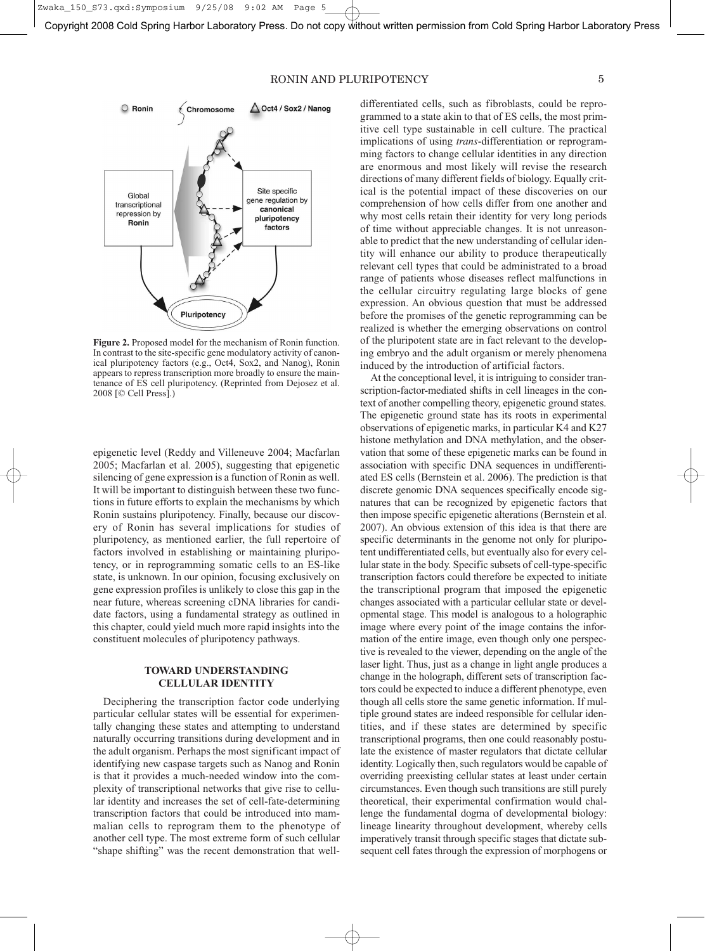Copyright 2008 Cold Spring Harbor Laboratory Press. Do not copy without written permission from Cold Spring Harbor Laboratory Press

# RONIN AND PLURIPOTENCY 5



**Figure 2.** Proposed model for the mechanism of Ronin function. In contrast to the site-specific gene modulatory activity of canonical pluripotency factors (e.g., Oct4, Sox2, and Nanog), Ronin appears to repress transcription more broadly to ensure the maintenance of ES cell pluripotency. (Reprinted from Dejosez et al. 2008 [© Cell Press].)

epigenetic level (Reddy and Villeneuve 2004; Macfarlan 2005; Macfarlan et al. 2005), suggesting that epigenetic silencing of gene expression is a function of Ronin as well. It will be important to distinguish between these two functions in future efforts to explain the mechanisms by which Ronin sustains pluripotency. Finally, because our discovery of Ronin has several implications for studies of pluripotency, as mentioned earlier, the full repertoire of factors involved in establishing or maintaining pluripotency, or in reprogramming somatic cells to an ES-like state, is unknown. In our opinion, focusing exclusively on gene expression profiles is unlikely to close this gap in the near future, whereas screening cDNA libraries for candidate factors, using a fundamental strategy as outlined in this chapter, could yield much more rapid insights into the constituent molecules of pluripotency pathways.

# **TOWARD UNDERSTANDING CELLULAR IDENTITY**

Deciphering the transcription factor code underlying particular cellular states will be essential for experimentally changing these states and attempting to understand naturally occurring transitions during development and in the adult organism. Perhaps the most significant impact of identifying new caspase targets such as Nanog and Ronin is that it provides a much-needed window into the complexity of transcriptional networks that give rise to cellular identity and increases the set of cell-fate-determining transcription factors that could be introduced into mammalian cells to reprogram them to the phenotype of another cell type. The most extreme form of such cellular "shape shifting" was the recent demonstration that welldifferentiated cells, such as fibroblasts, could be reprogrammed to a state akin to that of ES cells, the most primitive cell type sustainable in cell culture. The practical implications of using *trans*-differentiation or reprogramming factors to change cellular identities in any direction are enormous and most likely will revise the research directions of many different fields of biology. Equally critical is the potential impact of these discoveries on our comprehension of how cells differ from one another and why most cells retain their identity for very long periods of time without appreciable changes. It is not unreasonable to predict that the new understanding of cellular identity will enhance our ability to produce therapeutically relevant cell types that could be administrated to a broad range of patients whose diseases reflect malfunctions in the cellular circuitry regulating large blocks of gene expression. An obvious question that must be addressed before the promises of the genetic reprogramming can be realized is whether the emerging observations on control of the pluripotent state are in fact relevant to the developing embryo and the adult organism or merely phenomena induced by the introduction of artificial factors.

At the conceptional level, it is intriguing to consider transcription-factor-mediated shifts in cell lineages in the context of another compelling theory, epigenetic ground states. The epigenetic ground state has its roots in experimental observations of epigenetic marks, in particular K4 and K27 histone methylation and DNA methylation, and the observation that some of these epigenetic marks can be found in association with specific DNA sequences in undifferentiated ES cells (Bernstein et al. 2006). The prediction is that discrete genomic DNA sequences specifically encode signatures that can be recognized by epigenetic factors that then impose specific epigenetic alterations (Bernstein et al. 2007). An obvious extension of this idea is that there are specific determinants in the genome not only for pluripotent undifferentiated cells, but eventually also for every cellular state in the body. Specific subsets of cell-type-specific transcription factors could therefore be expected to initiate the transcriptional program that imposed the epigenetic changes associated with a particular cellular state or developmental stage. This model is analogous to a holographic image where every point of the image contains the information of the entire image, even though only one perspective is revealed to the viewer, depending on the angle of the laser light. Thus, just as a change in light angle produces a change in the holograph, different sets of transcription factors could be expected to induce a different phenotype, even though all cells store the same genetic information. If multiple ground states are indeed responsible for cellular identities, and if these states are determined by specific transcriptional programs, then one could reasonably postulate the existence of master regulators that dictate cellular identity. Logically then, such regulators would be capable of overriding preexisting cellular states at least under certain circumstances. Even though such transitions are still purely theoretical, their experimental confirmation would challenge the fundamental dogma of developmental biology: lineage linearity throughout development, whereby cells imperatively transit through specific stages that dictate subsequent cell fates through the expression of morphogens or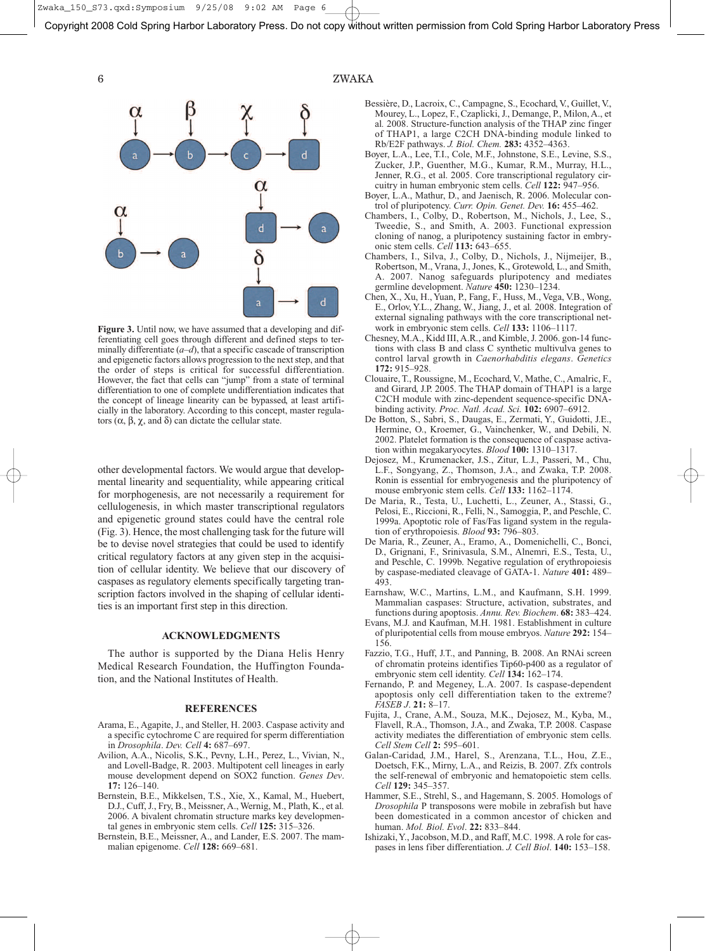Zwaka\_150\_S73.qxd:Symposium 9/25/08 9:02 AM Page 6

Copyright 2008 Cold Spring Harbor Laboratory Press. Do not copy without written permission from Cold Spring Harbor Laboratory Press



**Figure 3.** Until now, we have assumed that a developing and differentiating cell goes through different and defined steps to terminally differentiate  $(a-d)$ , that a specific cascade of transcription and epigenetic factors allows progression to the next step, and that the order of steps is critical for successful differentiation. However, the fact that cells can "jump" from a state of terminal differentiation to one of complete undifferentiation indicates that the concept of lineage linearity can be bypassed, at least artificially in the laboratory. According to this concept, master regulators (α, β, χ, and δ) can dictate the cellular state.

other developmental factors. We would argue that developmental linearity and sequentiality, while appearing critical for morphogenesis, are not necessarily a requirement for cellulogenesis, in which master transcriptional regulators and epigenetic ground states could have the central role (Fig. 3). Hence, the most challenging task for the future will be to devise novel strategies that could be used to identify critical regulatory factors at any given step in the acquisition of cellular identity. We believe that our discovery of caspases as regulatory elements specifically targeting transcription factors involved in the shaping of cellular identities is an important first step in this direction.

### **ACKNOWLEDGMENTS**

The author is supported by the Diana Helis Henry Medical Research Foundation, the Huffington Foundation, and the National Institutes of Health.

#### **REFERENCES**

- Arama, E., Agapite, J., and Steller, H. 2003. Caspase activity and a specific cytochrome C are required for sperm differentiation in *Drosophila*. *Dev. Cell* **4:** 687–697.
- Avilion, A.A., Nicolis, S.K., Pevny, L.H., Perez, L., Vivian, N., and Lovell-Badge, R. 2003. Multipotent cell lineages in early mouse development depend on SOX2 function. *Genes Dev*. **17:** 126–140.
- Bernstein, B.E., Mikkelsen, T.S., Xie, X., Kamal, M., Huebert, D.J., Cuff, J., Fry, B., Meissner, A., Wernig, M., Plath, K., et al*.* 2006. A bivalent chromatin structure marks key developmental genes in embryonic stem cells. *Cell* **125:** 315–326.
- Bernstein, B.E., Meissner, A., and Lander, E.S. 2007. The mammalian epigenome. *Cell* **128:** 669–681.

# 6 ZWAKA

- Bessière, D., Lacroix, C., Campagne, S., Ecochard, V., Guillet, V., Mourey, L., Lopez, F., Czaplicki, J., Demange, P., Milon, A., et al*.* 2008. Structure-function analysis of the THAP zinc finger of THAP1, a large C2CH DNA-binding module linked to Rb/E2F pathways. *J. Biol. Chem.* **283:** 4352–4363.
- Boyer, L.A., Lee, T.I., Cole, M.F., Johnstone, S.E., Levine, S.S., Zucker, J.P., Guenther, M.G., Kumar, R.M., Murray, H.L., Jenner, R.G., et al. 2005. Core transcriptional regulatory circuitry in human embryonic stem cells. *Cell* **122:** 947–956.
- Boyer, L.A., Mathur, D., and Jaenisch, R. 2006. Molecular control of pluripotency. *Curr. Opin. Genet. Dev.* **16:** 455–462.
- Chambers, I., Colby, D., Robertson, M., Nichols, J., Lee, S., Tweedie, S., and Smith, A. 2003. Functional expression cloning of nanog, a pluripotency sustaining factor in embryonic stem cells. *Cell* **113:** 643–655.
- Chambers, I., Silva, J., Colby, D., Nichols, J., Nijmeijer, B., Robertson, M., Vrana, J., Jones, K., Grotewold, L., and Smith, A. 2007. Nanog safeguards pluripotency and mediates germline development. *Nature* **450:** 1230–1234.
- Chen, X., Xu, H., Yuan, P., Fang, F., Huss, M., Vega, V.B., Wong, E., Orlov, Y.L., Zhang, W., Jiang, J., et al*.* 2008. Integration of external signaling pathways with the core transcriptional network in embryonic stem cells. *Cell* **133:** 1106–1117.
- Chesney, M.A., Kidd III, A.R., and Kimble, J. 2006. gon-14 functions with class B and class C synthetic multivulva genes to control larval growth in *Caenorhabditis elegans*. *Genetics* **172:** 915–928.
- Clouaire, T., Roussigne, M., Ecochard, V., Mathe, C., Amalric, F., and Girard, J.P. 2005. The THAP domain of THAP1 is a large C2CH module with zinc-dependent sequence-specific DNAbinding activity. *Proc. Natl. Acad. Sci.* **102:** 6907–6912.
- De Botton, S., Sabri, S., Daugas, E., Zermati, Y., Guidotti, J.E., Hermine, O., Kroemer, G., Vainchenker, W., and Debili, N. 2002. Platelet formation is the consequence of caspase activation within megakaryocytes. *Blood* **100:** 1310–1317.
- Dejosez, M., Krumenacker, J.S., Zitur, L.J., Passeri, M., Chu, L.F., Songyang, Z., Thomson, J.A., and Zwaka, T.P. 2008. Ronin is essential for embryogenesis and the pluripotency of mouse embryonic stem cells. *Cell* **133:** 1162–1174.
- De Maria, R., Testa, U., Luchetti, L., Zeuner, A., Stassi, G., Pelosi, E., Riccioni, R., Felli, N., Samoggia, P., and Peschle, C. 1999a. Apoptotic role of Fas/Fas ligand system in the regulation of erythropoiesis. *Blood* **93:** 796–803.
- De Maria, R., Zeuner, A., Eramo, A., Domenichelli, C., Bonci, D., Grignani, F., Srinivasula, S.M., Alnemri, E.S., Testa, U., and Peschle, C. 1999b. Negative regulation of erythropoiesis by caspase-mediated cleavage of GATA-1. *Nature* **401:** 489– 493.
- Earnshaw, W.C., Martins, L.M., and Kaufmann, S.H. 1999. Mammalian caspases: Structure, activation, substrates, and functions during apoptosis. *Annu. Rev. Biochem*. **68:** 383–424.
- Evans, M.J. and Kaufman, M.H. 1981. Establishment in culture of pluripotential cells from mouse embryos. *Nature* **292:** 154– 156.
- Fazzio, T.G., Huff, J.T., and Panning, B. 2008. An RNAi screen of chromatin proteins identifies Tip60-p400 as a regulator of embryonic stem cell identity. *Cell* **134:** 162–174.
- Fernando, P. and Megeney, L.A. 2007. Is caspase-dependent apoptosis only cell differentiation taken to the extreme? *FASEB J*. **21:** 8–17.
- Fujita, J., Crane, A.M., Souza, M.K., Dejosez, M., Kyba, M., Flavell, R.A., Thomson, J.A., and Zwaka, T.P. 2008. Caspase activity mediates the differentiation of embryonic stem cells. *Cell Stem Cell* **2:** 595–601.
- Galan-Caridad, J.M., Harel, S., Arenzana, T.L., Hou, Z.E., Doetsch, F.K., Mirny, L.A., and Reizis, B. 2007. Zfx controls the self-renewal of embryonic and hematopoietic stem cells. *Cell* **129:** 345–357.
- Hammer, S.E., Strehl, S., and Hagemann, S. 2005. Homologs of *Drosophila* P transposons were mobile in zebrafish but have been domesticated in a common ancestor of chicken and human. *Mol. Biol. Evol*. **22:** 833–844.
- Ishizaki,Y., Jacobson, M.D., and Raff, M.C. 1998. A role for caspases in lens fiber differentiation. *J. Cell Biol*. **140:** 153–158.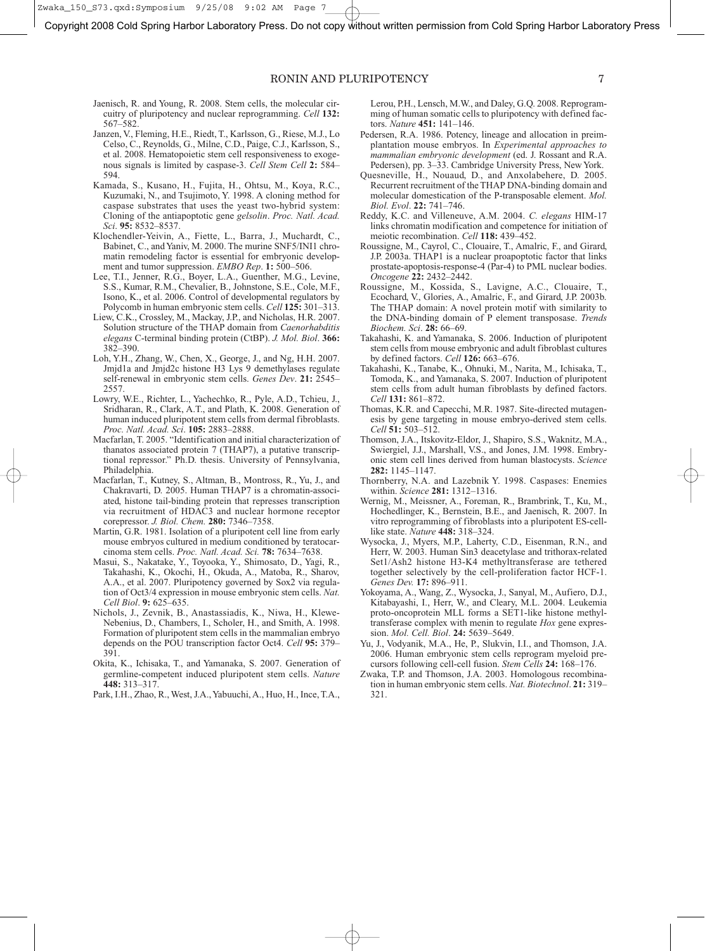Zwaka\_150\_S73.qxd:Symposium 9/25/08 9:02 AM Page 7

Copyright 2008 Cold Spring Harbor Laboratory Press. Do not copy without written permission from Cold Spring Harbor Laboratory Press

# RONIN AND PLURIPOTENCY 7

- Jaenisch, R. and Young, R. 2008. Stem cells, the molecular circuitry of pluripotency and nuclear reprogramming. *Cell* **132:** 567–582.
- Janzen, V., Fleming, H.E., Riedt, T., Karlsson, G., Riese, M.J., Lo Celso, C., Reynolds, G., Milne, C.D., Paige, C.J., Karlsson, S., et al. 2008. Hematopoietic stem cell responsiveness to exogenous signals is limited by caspase-3. *Cell Stem Cell* **2:** 584– 594.
- Kamada, S., Kusano, H., Fujita, H., Ohtsu, M., Koya, R.C., Kuzumaki, N., and Tsujimoto, Y. 1998. A cloning method for caspase substrates that uses the yeast two-hybrid system: Cloning of the antiapoptotic gene *gelsolin*. *Proc. Natl. Acad. Sci*. **95:** 8532–8537.
- Klochendler-Yeivin, A., Fiette, L., Barra, J., Muchardt, C., Babinet, C., and Yaniv, M. 2000. The murine SNF5/INI1 chromatin remodeling factor is essential for embryonic development and tumor suppression. *EMBO Rep*. **1:** 500–506.
- Lee, T.I., Jenner, R.G., Boyer, L.A., Guenther, M.G., Levine, S.S., Kumar, R.M., Chevalier, B., Johnstone, S.E., Cole, M.F., Isono, K., et al. 2006. Control of developmental regulators by Polycomb in human embryonic stem cells. *Cell* **125:** 301–313.
- Liew, C.K., Crossley, M., Mackay, J.P., and Nicholas, H.R. 2007. Solution structure of the THAP domain from *Caenorhabditis elegans* C-terminal binding protein (CtBP). *J. Mol. Biol*. **366:** 382–390.
- Loh, Y.H., Zhang, W., Chen, X., George, J., and Ng, H.H. 2007. Jmjd1a and Jmjd2c histone H3 Lys 9 demethylases regulate self-renewal in embryonic stem cells. *Genes Dev*. **21:** 2545– 2557.
- Lowry, W.E., Richter, L., Yachechko, R., Pyle, A.D., Tchieu, J., Sridharan, R., Clark, A.T., and Plath, K. 2008. Generation of human induced pluripotent stem cells from dermal fibroblasts. *Proc. Natl. Acad. Sci*. **105:** 2883–2888.
- Macfarlan, T. 2005. "Identification and initial characterization of thanatos associated protein 7 (THAP7), a putative transcriptional repressor." Ph.D. thesis. University of Pennsylvania, Philadelphia.
- Macfarlan, T., Kutney, S., Altman, B., Montross, R., Yu, J., and Chakravarti, D. 2005. Human THAP7 is a chromatin-associated, histone tail-binding protein that represses transcription via recruitment of HDAC3 and nuclear hormone receptor corepressor. *J. Biol. Chem.* **280:** 7346–7358.
- Martin, G.R. 1981. Isolation of a pluripotent cell line from early mouse embryos cultured in medium conditioned by teratocarcinoma stem cells. *Proc. Natl. Acad. Sci.* **78:** 7634–7638.
- Masui, S., Nakatake, Y., Toyooka, Y., Shimosato, D., Yagi, R., Takahashi, K., Okochi, H., Okuda, A., Matoba, R., Sharov, A.A., et al. 2007. Pluripotency governed by Sox2 via regulation of Oct3/4 expression in mouse embryonic stem cells. *Nat. Cell Biol*. **9:** 625–635.
- Nichols, J., Zevnik, B., Anastassiadis, K., Niwa, H., Klewe-Nebenius, D., Chambers, I., Scholer, H., and Smith, A. 1998. Formation of pluripotent stem cells in the mammalian embryo depends on the POU transcription factor Oct4. *Cell* **95:** 379– 391.
- Okita, K., Ichisaka, T., and Yamanaka, S. 2007. Generation of germline-competent induced pluripotent stem cells. *Nature* **448:** 313–317.
- Park, I.H., Zhao, R., West, J.A.,Yabuuchi, A., Huo, H., Ince, T.A.,

Lerou, P.H., Lensch, M.W., and Daley, G.Q. 2008. Reprogramming of human somatic cells to pluripotency with defined factors. *Nature* **451:** 141–146.

- Pedersen, R.A. 1986. Potency, lineage and allocation in preimplantation mouse embryos. In *Experimental approaches to mammalian embryonic development* (ed. J. Rossant and R.A. Pedersen), pp. 3–33. Cambridge University Press, New York.
- Quesneville, H., Nouaud, D., and Anxolabehere, D. 2005. Recurrent recruitment of the THAP DNA-binding domain and molecular domestication of the P-transposable element. *Mol. Biol. Evol*. **22:** 741–746.
- Reddy, K.C. and Villeneuve, A.M. 2004. *C. elegans* HIM-17 links chromatin modification and competence for initiation of meiotic recombination. *Cell* **118:** 439–452.
- Roussigne, M., Cayrol, C., Clouaire, T., Amalric, F., and Girard, J.P. 2003a. THAP1 is a nuclear proapoptotic factor that links prostate-apoptosis-response-4 (Par-4) to PML nuclear bodies. *Oncogene* **22:** 2432–2442.
- Roussigne, M., Kossida, S., Lavigne, A.C., Clouaire, T., Ecochard, V., Glories, A., Amalric, F., and Girard, J.P. 2003b. The THAP domain: A novel protein motif with similarity to the DNA-binding domain of P element transposase. *Trends Biochem. Sci*. **28:** 66–69.
- Takahashi, K. and Yamanaka, S. 2006. Induction of pluripotent stem cells from mouse embryonic and adult fibroblast cultures by defined factors. *Cell* **126:** 663–676.
- Takahashi, K., Tanabe, K., Ohnuki, M., Narita, M., Ichisaka, T., Tomoda, K., and Yamanaka, S. 2007. Induction of pluripotent stem cells from adult human fibroblasts by defined factors. *Cell* **131:** 861–872.
- Thomas, K.R. and Capecchi, M.R. 1987. Site-directed mutagenesis by gene targeting in mouse embryo-derived stem cells. *Cell* **51:** 503–512.
- Thomson, J.A., Itskovitz-Eldor, J., Shapiro, S.S., Waknitz, M.A., Swiergiel, J.J., Marshall, V.S., and Jones, J.M. 1998. Embryonic stem cell lines derived from human blastocysts. *Science* **282:** 1145–1147.
- Thornberry, N.A. and Lazebnik Y. 1998. Caspases: Enemies within. *Science* **281:** 1312–1316.
- Wernig, M., Meissner, A., Foreman, R., Brambrink, T., Ku, M., Hochedlinger, K., Bernstein, B.E., and Jaenisch, R. 2007. In vitro reprogramming of fibroblasts into a pluripotent ES-celllike state. *Nature* **448:** 318–324.
- Wysocka, J., Myers, M.P., Laherty, C.D., Eisenman, R.N., and Herr, W. 2003. Human Sin3 deacetylase and trithorax-related Set1/Ash2 histone H3-K4 methyltransferase are tethered together selectively by the cell-proliferation factor HCF-1. *Genes Dev.* **17:** 896–911.
- Yokoyama, A., Wang, Z., Wysocka, J., Sanyal, M., Aufiero, D.J., Kitabayashi, I., Herr, W., and Cleary, M.L. 2004. Leukemia proto-oncoprotein MLL forms a SET1-like histone methyltransferase complex with menin to regulate *Hox* gene expression. *Mol. Cell. Biol*. **24:** 5639–5649.
- Yu, J., Vodyanik, M.A., He, P., Slukvin, I.I., and Thomson, J.A. 2006. Human embryonic stem cells reprogram myeloid precursors following cell-cell fusion. *Stem Cells* **24:** 168–176.
- Zwaka, T.P. and Thomson, J.A. 2003. Homologous recombination in human embryonic stem cells. *Nat. Biotechnol*. **21:** 319– 321.